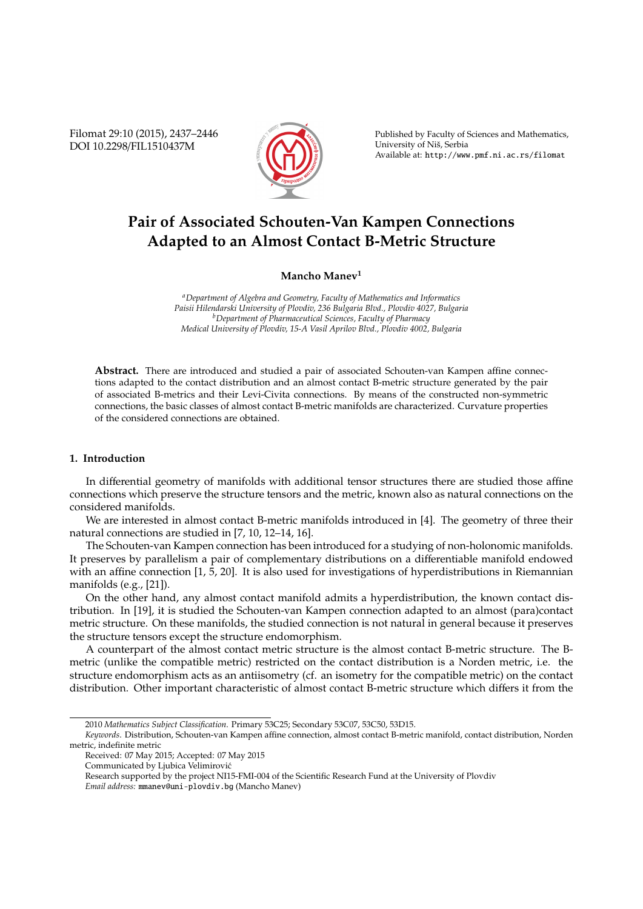Filomat 29:10 (2015), 2437–2446 DOI 10.2298/FIL1510437M



Published by Faculty of Sciences and Mathematics, University of Niš, Serbia Available at: http://www.pmf.ni.ac.rs/filomat

# **Pair of Associated Schouten-Van Kampen Connections Adapted to an Almost Contact B-Metric Structure**

**Mancho Manev<sup>1</sup>**

*<sup>a</sup>Department of Algebra and Geometry, Faculty of Mathematics and Informatics Paisii Hilendarski University of Plovdiv, 236 Bulgaria Blvd., Plovdiv 4027, Bulgaria <sup>b</sup>Department of Pharmaceutical Sciences, Faculty of Pharmacy Medical University of Plovdiv, 15-A Vasil Aprilov Blvd., Plovdiv 4002, Bulgaria*

**Abstract.** There are introduced and studied a pair of associated Schouten-van Kampen affine connections adapted to the contact distribution and an almost contact B-metric structure generated by the pair of associated B-metrics and their Levi-Civita connections. By means of the constructed non-symmetric connections, the basic classes of almost contact B-metric manifolds are characterized. Curvature properties of the considered connections are obtained.

# **1. Introduction**

In differential geometry of manifolds with additional tensor structures there are studied those affine connections which preserve the structure tensors and the metric, known also as natural connections on the considered manifolds.

We are interested in almost contact B-metric manifolds introduced in [4]. The geometry of three their natural connections are studied in [7, 10, 12–14, 16].

The Schouten-van Kampen connection has been introduced for a studying of non-holonomic manifolds. It preserves by parallelism a pair of complementary distributions on a differentiable manifold endowed with an affine connection [1, 5, 20]. It is also used for investigations of hyperdistributions in Riemannian manifolds (e.g., [21]).

On the other hand, any almost contact manifold admits a hyperdistribution, the known contact distribution. In [19], it is studied the Schouten-van Kampen connection adapted to an almost (para)contact metric structure. On these manifolds, the studied connection is not natural in general because it preserves the structure tensors except the structure endomorphism.

A counterpart of the almost contact metric structure is the almost contact B-metric structure. The Bmetric (unlike the compatible metric) restricted on the contact distribution is a Norden metric, i.e. the structure endomorphism acts as an antiisometry (cf. an isometry for the compatible metric) on the contact distribution. Other important characteristic of almost contact B-metric structure which differs it from the

<sup>2010</sup> *Mathematics Subject Classification*. Primary 53C25; Secondary 53C07, 53C50, 53D15.

*Keywords*. Distribution, Schouten-van Kampen affine connection, almost contact B-metric manifold, contact distribution, Norden metric, indefinite metric

Received: 07 May 2015; Accepted: 07 May 2015

Communicated by Ljubica Velimirovic´

Research supported by the project NI15-FMI-004 of the Scientific Research Fund at the University of Plovdiv

*Email address:* mmanev@uni-plovdiv.bg (Mancho Manev)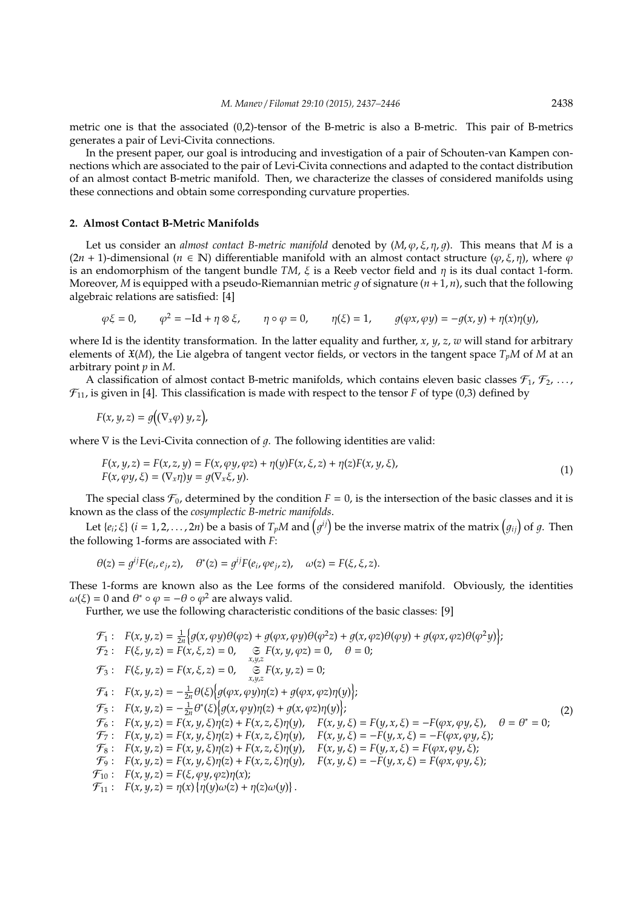metric one is that the associated (0,2)-tensor of the B-metric is also a B-metric. This pair of B-metrics generates a pair of Levi-Civita connections.

In the present paper, our goal is introducing and investigation of a pair of Schouten-van Kampen connections which are associated to the pair of Levi-Civita connections and adapted to the contact distribution of an almost contact B-metric manifold. Then, we characterize the classes of considered manifolds using these connections and obtain some corresponding curvature properties.

### **2. Almost Contact B-Metric Manifolds**

Let us consider an *almost contact B-metric manifold* denoted by  $(M, \varphi, \xi, \eta, q)$ . This means that *M* is a  $(2n + 1)$ -dimensional  $(n \in \mathbb{N})$  differentiable manifold with an almost contact structure  $(\varphi, \xi, \eta)$ , where  $\varphi$ is an endomorphism of the tangent bundle *TM*,  $\xi$  is a Reeb vector field and  $\eta$  is its dual contact 1-form. Moreover, *M* is equipped with a pseudo-Riemannian metric q of signature  $(n+1, n)$ , such that the following algebraic relations are satisfied: [4]

$$
\varphi \xi = 0, \qquad \varphi^2 = -\mathrm{Id} + \eta \otimes \xi, \qquad \eta \circ \varphi = 0, \qquad \eta(\xi) = 1, \qquad g(\varphi x, \varphi y) = -g(x, y) + \eta(x)\eta(y),
$$

where Id is the identity transformation. In the latter equality and further, *x*, *y*, *z*, *w* will stand for arbitrary elements of  $\mathfrak{X}(M)$ , the Lie algebra of tangent vector fields, or vectors in the tangent space  $T_pM$  of M at an arbitrary point *p* in *M*.

A classification of almost contact B-metric manifolds, which contains eleven basic classes  $\mathcal{F}_1$ ,  $\mathcal{F}_2$ , ...,  $\mathcal{F}_{11}$ , is given in [4]. This classification is made with respect to the tensor *F* of type (0,3) defined by

$$
F(x, y, z) = g((\nabla_x \varphi) y, z),
$$

where  $\nabla$  is the Levi-Civita connection of  $q$ . The following identities are valid:

$$
F(x, y, z) = F(x, z, y) = F(x, \varphi y, \varphi z) + \eta(y)F(x, \xi, z) + \eta(z)F(x, y, \xi),
$$
  
\n
$$
F(x, \varphi y, \xi) = (\nabla_x \eta)y = g(\nabla_x \xi, y).
$$
\n(1)

The special class  $\mathcal{F}_0$ , determined by the condition  $F = 0$ , is the intersection of the basic classes and it is known as the class of the *cosymplectic B-metric manifolds*.

Let  $\{e_i;\xi\}$   $(i=1,2,\ldots,2n)$  be a basis of  $T_pM$  and  $\left(g^{ij}\right)$  be the inverse matrix of the matrix  $\left(g_{ij}\right)$  of  $g$ . Then the following 1-forms are associated with *F*:

$$
\theta(z) = g^{ij} F(e_i, e_j, z), \quad \theta^*(z) = g^{ij} F(e_i, \varphi e_j, z), \quad \omega(z) = F(\xi, \xi, z).
$$

These 1-forms are known also as the Lee forms of the considered manifold. Obviously, the identities  $ω(ξ) = 0$  and  $θ^* ∘ φ = -θ ∘ φ^2$  are always valid.

Further, we use the following characteristic conditions of the basic classes: [9]

$$
\mathcal{F}_{1}: F(x, y, z) = \frac{1}{2n} \{ g(x, \varphi y) \theta(\varphi z) + g(\varphi x, \varphi y) \theta(\varphi^{2} z) + g(x, \varphi z) \theta(\varphi y) + g(\varphi x, \varphi z) \theta(\varphi^{2} y) \};
$$
\n
$$
\mathcal{F}_{2}: F(\xi, y, z) = F(x, \xi, z) = 0, \mathfrak{S} F(x, y, \varphi z) = 0, \theta = 0;
$$
\n
$$
\mathcal{F}_{3}: F(\xi, y, z) = F(x, \xi, z) = 0, \mathfrak{S} F(x, y, z) = 0;
$$
\n
$$
\mathcal{F}_{4}: F(x, y, z) = -\frac{1}{2n} \theta(\xi) \{ g(\varphi x, \varphi y) \eta(z) + g(\varphi x, \varphi z) \eta(y) \};
$$
\n
$$
\mathcal{F}_{5}: F(x, y, z) = -\frac{1}{2n} \theta^*(\xi) \{ g(x, \varphi y) \eta(z) + g(x, \varphi z) \eta(y) \};
$$
\n
$$
\mathcal{F}_{6}: F(x, y, z) = F(x, y, \xi) \eta(z) + F(x, z, \xi) \eta(y), \quad F(x, y, \xi) = F(y, x, \xi) = -F(\varphi x, \varphi y, \xi), \quad \theta = \theta^* = 0;
$$
\n
$$
\mathcal{F}_{7}: F(x, y, z) = F(x, y, \xi) \eta(z) + F(x, z, \xi) \eta(y), \quad F(x, y, \xi) = -F(y, x, \xi) = -F(\varphi x, \varphi y, \xi);
$$
\n
$$
\mathcal{F}_{8}: F(x, y, z) = F(x, y, \xi) \eta(z) + F(x, z, \xi) \eta(y), \quad F(x, y, \xi) = F(y, x, \xi) = F(\varphi x, \varphi y, \xi);
$$
\n
$$
\mathcal{F}_{9}: F(x, y, z) = F(x, y, \xi) \eta(z) + F(x, z, \xi) \eta(y), \quad F(x, y, \xi) = -F(y, x, \xi) = F(\varphi x, \varphi y, \xi);
$$
\n
$$
\mathcal{F}_{10}: F(x, y, z) = F(\xi, \varphi y, \varphi z) \eta
$$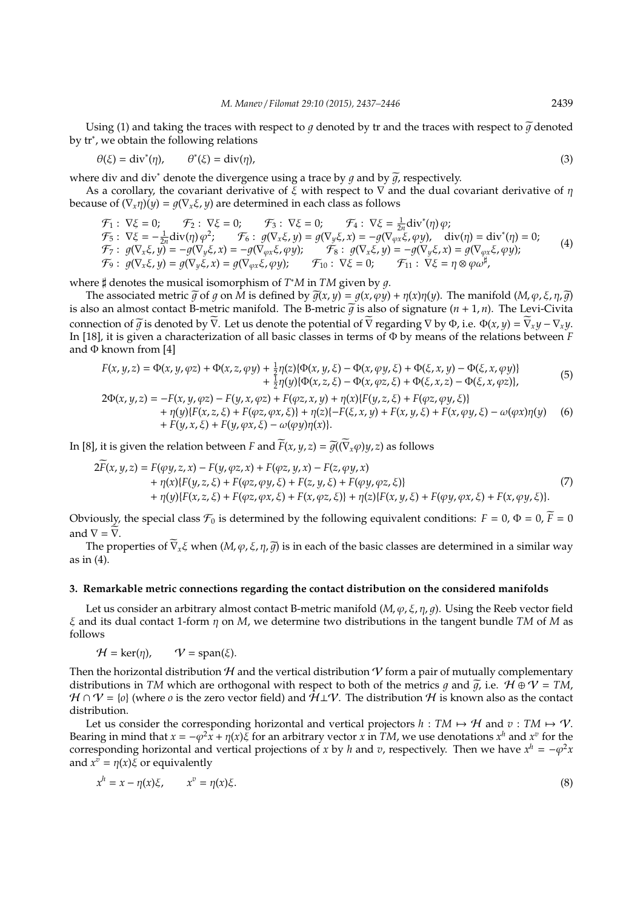Using (1) and taking the traces with respect to q denoted by tr and the traces with respect to  $\tilde{q}$  denoted by tr<sup>∗</sup> , we obtain the following relations

$$
\theta(\xi) = \text{div}^*(\eta), \qquad \theta^*(\xi) = \text{div}(\eta), \tag{3}
$$

where div and div<sup>∗</sup> denote the divergence using a trace by q and by  $\tilde{q}$ , respectively.

As a corollary, the covariant derivative of  $\xi$  with respect to  $\nabla$  and the dual covariant derivative of  $\eta$ because of  $(\nabla_x \eta)(y) = g(\nabla_x \xi, y)$  are determined in each class as follows

 $\mathcal{F}_1$ :  $\nabla \xi = 0$ ;  $\mathcal{F}_2$ :  $\nabla \xi = 0$ ;  $\mathcal{F}_3$ :  $\nabla \xi = 0$ ;  $\mathcal{F}_4$ :  $\nabla \xi = \frac{1}{2n} \text{div}^*(\eta) \varphi$ ;  $\mathcal{F}_5$ :  $\nabla \xi = -\frac{1}{2n} \text{div}(\eta) \varphi^2$ ;  $\mathcal{F}_6$ :  $g(\nabla_x \xi, y) = g(\nabla_y \xi, x) = -g(\nabla_{\varphi x} \xi, \varphi y)$ ,  $\text{div}(\eta) = \text{div}^*(\eta) = 0$ ;  $\mathcal{F}_7: g(\nabla_x \xi, y) = -g(\nabla_y \xi, x) = -g(\nabla_{\varphi x} \xi, \varphi y); \qquad \mathcal{F}_8: g(\nabla_x \xi, y) = -g(\nabla_y \xi, x) = g(\nabla_{\varphi x} \xi, \varphi y);$  $\mathcal{F}_9: g(\nabla_x \xi, y) = g(\nabla_y \xi, x) = g(\nabla_{\varphi x} \xi, \varphi y); \quad \mathcal{F}_{10}: \nabla \xi = 0; \quad \mathcal{F}_{11}: \nabla \xi = \eta \otimes \varphi \omega^{\sharp},$ (4)

where  $\sharp$  denotes the musical isomorphism of  $T^*M$  in  $TM$  given by g.

The associated metric  $\tilde{g}$  of g on *M* is defined by  $\tilde{g}(x, y) = g(x, \varphi y) + \eta(x)\eta(y)$ . The manifold  $(M, \varphi, \xi, \eta, \tilde{g})$ is also an almost contact B-metric manifold. The B-metric  $\tilde{g}$  is also of signature ( $n + 1$ ,  $n$ ). The Levi-Civita connection of  $\widetilde{q}$  is denoted by  $\widetilde{\nabla}$ . Let us denote the potential of  $\widetilde{\nabla}$  regarding  $\nabla$  by  $\Phi$ , i.e.  $\Phi(x, y) = \widetilde{\nabla}_x y - \nabla_x y$ . In [18], it is given a characterization of all basic classes in terms of Φ by means of the relations between *F* and  $\Phi$  known from [4]

$$
F(x, y, z) = \Phi(x, y, \varphi z) + \Phi(x, z, \varphi y) + \frac{1}{2} \eta(z) \{ \Phi(x, y, \xi) - \Phi(x, \varphi y, \xi) + \Phi(\xi, x, y) - \Phi(\xi, x, \varphi y) \} + \frac{1}{2} \eta(y) \{ \Phi(x, z, \xi) - \Phi(x, \varphi z, \xi) + \Phi(\xi, x, z) - \Phi(\xi, x, \varphi z) \},
$$
(5)

$$
2\Phi(x, y, z) = -F(x, y, \varphi z) - F(y, x, \varphi z) + F(\varphi z, x, y) + \eta(x)\{F(y, z, \xi) + F(\varphi z, \varphi y, \xi)\} + \eta(y)\{F(x, z, \xi) + F(\varphi z, \varphi x, \xi)\} + \eta(z)\{-F(\xi, x, y) + F(x, y, \xi) + F(x, \varphi y, \xi) - \omega(\varphi x)\eta(y) + F(y, x, \xi) + F(y, \varphi x, \xi) - \omega(\varphi y)\eta(x)\}.
$$
(6)

In [8], it is given the relation between *F* and  $\widetilde{F}(x, y, z) = \widetilde{q}((\widetilde{V}_x \varphi)y, z)$  as follows

$$
2\widetilde{F}(x, y, z) = F(\varphi y, z, x) - F(y, \varphi z, x) + F(\varphi z, y, x) - F(z, \varphi y, x) + \eta(x)\{F(y, z, \xi) + F(\varphi z, \varphi y, \xi) + F(z, y, \xi) + F(\varphi y, \varphi z, \xi)\} + \eta(y)\{F(x, z, \xi) + F(\varphi z, \varphi x, \xi) + F(x, \varphi z, \xi)\} + \eta(z)\{F(x, y, \xi) + F(\varphi y, \varphi x, \xi) + F(x, \varphi y, \xi)\}.
$$
(7)

Obviously, the special class  $\mathcal{F}_0$  is determined by the following equivalent conditions:  $F = 0$ ,  $\Phi = 0$ ,  $\widetilde{F} = 0$ and  $\nabla = \overline{\nabla}$ .

The properties of  $\overline{\nabla}_x \xi$  when  $(M, \varphi, \xi, \eta, \overline{g})$  is in each of the basic classes are determined in a similar way as in (4).

## **3. Remarkable metric connections regarding the contact distribution on the considered manifolds**

Let us consider an arbitrary almost contact B-metric manifold  $(M, \varphi, \xi, \eta, q)$ . Using the Reeb vector field ξ and its dual contact 1-form η on *M*, we determine two distributions in the tangent bundle *TM* of *M* as follows

$$
\mathcal{H} = \ker(\eta), \qquad \mathcal{V} = \text{span}(\xi).
$$

Then the horizontal distribution  $H$  and the vertical distribution V form a pair of mutually complementary distributions in *TM* which are orthogonal with respect to both of the metrics g and  $\tilde{g}$ , i.e.  $H \oplus V = TM$ ,  $\mathcal{H} \cap \mathcal{V} = \{o\}$  (where *o* is the zero vector field) and  $\mathcal{H} \perp \mathcal{V}$ . The distribution  $\mathcal{H}$  is known also as the contact distribution.

Let us consider the corresponding horizontal and vertical projectors  $h : TM \mapsto H$  and  $v : TM \mapsto V$ . Bearing in mind that  $x = -\varphi^2 \hat{x} + \eta(x)\tilde{\xi}$  for an arbitrary vector  $x$  in *TM*, we use denotations  $x^h$  and  $x^v$  for the corresponding horizontal and vertical projections of *x* by *h* and *v*, respectively. Then we have  $x^h = -\varphi^2 x$ and  $x^v = \eta(x)\xi$  or equivalently

$$
x^h = x - \eta(x)\xi, \qquad x^v = \eta(x)\xi. \tag{8}
$$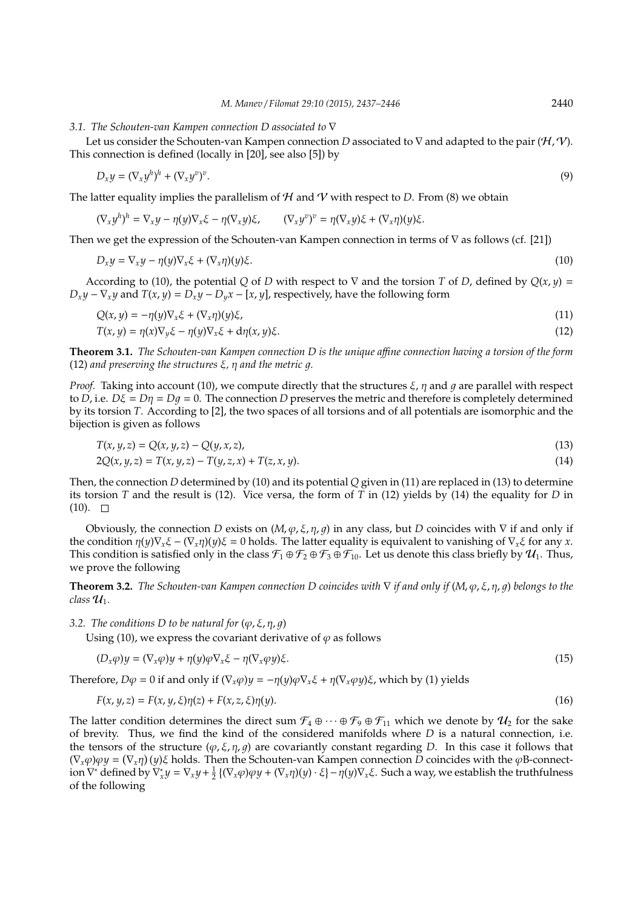#### *3.1. The Schouten-van Kampen connection D associated to* ∇

Let us consider the Schouten-van Kampen connection *D* associated to ∇ and adapted to the pair (H, V). This connection is defined (locally in [20], see also [5]) by

$$
D_x y = (\nabla_x y^h)^h + (\nabla_x y^v)^v. \tag{9}
$$

The latter equality implies the parallelism of  $H$  and  $V$  with respect to *D*. From (8) we obtain

$$
(\nabla_x y^h)^h = \nabla_x y - \eta(y)\nabla_x \xi - \eta(\nabla_x y)\xi, \qquad (\nabla_x y^v)^v = \eta(\nabla_x y)\xi + (\nabla_x \eta)(y)\xi.
$$

Then we get the expression of the Schouten-van Kampen connection in terms of ∇ as follows (cf. [21])

$$
D_x y = \nabla_x y - \eta(y) \nabla_x \xi + (\nabla_x \eta)(y) \xi.
$$
\n(10)

According to (10), the potential *Q* of *D* with respect to  $\nabla$  and the torsion *T* of *D*, defined by  $Q(x, y)$  =  $D_x y - \nabla_x y$  and  $T(x, y) = D_x y - D_y x - [x, y]$ , respectively, have the following form

$$
Q(x, y) = -\eta(y)\nabla_x \xi + (\nabla_x \eta)(y)\xi,
$$
  
\n
$$
T(x, y) = \eta(x)\nabla_y \xi - \eta(y)\nabla_x \xi + d\eta(x, y)\xi.
$$
\n(11)

**Theorem 3.1.** *The Schouten-van Kampen connection D is the unique a*ffi*ne connection having a torsion of the form* (12) *and preserving the structures*  $\xi$ ,  $\eta$  *and the metric q.* 

*Proof.* Taking into account (10), we compute directly that the structures  $\xi$ ,  $\eta$  and  $q$  are parallel with respect to *D*, i.e.  $D\xi = D\eta = Dq = 0$ . The connection *D* preserves the metric and therefore is completely determined by its torsion *T*. According to [2], the two spaces of all torsions and of all potentials are isomorphic and the bijection is given as follows

$$
T(x, y, z) = Q(x, y, z) - Q(y, x, z),
$$
\n(13)

$$
2Q(x, y, z) = T(x, y, z) - T(y, z, x) + T(z, x, y).
$$
\n(14)

Then, the connection *D* determined by (10) and its potential *Q* given in (11) are replaced in (13) to determine its torsion *T* and the result is (12). Vice versa, the form of *T* in (12) yields by (14) the equality for *D* in  $(10)$ .  $\Box$ 

Obviously, the connection *D* exists on  $(M, \varphi, \xi, \eta, q)$  in any class, but *D* coincides with  $\nabla$  if and only if the condition  $\eta(y)\nabla_x\xi - (\nabla_x\eta)(y)\xi = 0$  holds. The latter equality is equivalent to vanishing of  $\nabla_x\xi$  for any *x*. This condition is satisfied only in the class  $\mathcal{F}_1 \oplus \mathcal{F}_2 \oplus \mathcal{F}_3 \oplus \mathcal{F}_{10}$ . Let us denote this class briefly by  $\mathcal{U}_1$ . Thus, we prove the following

**Theorem 3.2.** *The Schouten-van Kampen connection D coincides with* ∇ *if and only if* (*M*, ϕ, ξ, η, 1) *belongs to the*  $class \mathcal{U}_1$ .

*3.2. The conditions D to be natural for*  $(\varphi, \xi, \eta, q)$ 

Using (10), we express the covariant derivative of  $\varphi$  as follows

$$
(D_x \varphi)y = (\nabla_x \varphi)y + \eta(y)\varphi \nabla_x \xi - \eta(\nabla_x \varphi y)\xi.
$$
\n(15)

Therefore,  $D\varphi = 0$  if and only if  $(\nabla_x \varphi)\psi = -\eta(\psi)\varphi \nabla_x \xi + \eta(\nabla_x \varphi \psi) \xi$ , which by (1) yields

$$
F(x, y, z) = F(x, y, \xi)\eta(z) + F(x, z, \xi)\eta(y). \tag{16}
$$

The latter condition determines the direct sum  $\mathcal{F}_4 \oplus \cdots \oplus \mathcal{F}_9 \oplus \mathcal{F}_{11}$  which we denote by  $\mathcal{U}_2$  for the sake of brevity. Thus, we find the kind of the considered manifolds where *D* is a natural connection, i.e. the tensors of the structure  $(\varphi, \xi, \eta, g)$  are covariantly constant regarding *D*. In this case it follows that  $(\nabla_x \varphi) \varphi y = (\nabla_x \eta)(y) \xi$  holds. Then the Schouten-van Kampen connection *D* coincides with the  $\varphi$ B-connection ∇ <sup>∗</sup> defined by ∇ ∗ *<sup>x</sup> <sup>y</sup>* <sup>=</sup> <sup>∇</sup>*<sup>x</sup> <sup>y</sup>*<sup>+</sup> 1 2 (∇*x*ϕ)ϕ*y* + (∇*x*η)(*y*) · ξ −η(*y*)∇*x*ξ. Such a way, we establish the truthfulness of the following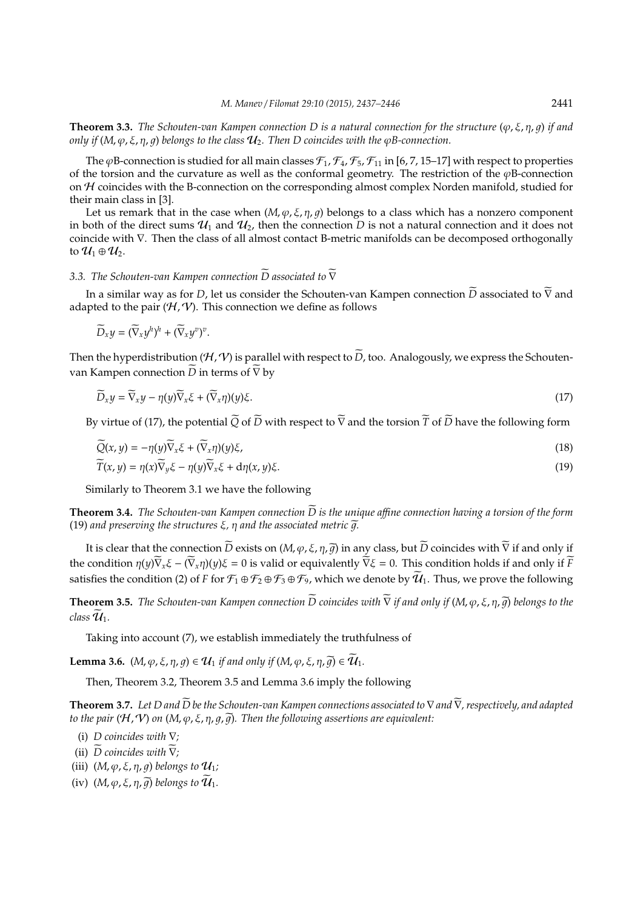**Theorem 3.3.** *The Schouten-van Kampen connection D is a natural connection for the structure* (ϕ, ξ, η, 1) *if and only if* ( $M$ ,  $\varphi$ ,  $\xi$ ,  $\eta$ ,  $\varphi$ ) *belongs to the class*  $U_2$ . Then D coincides with the  $\varphi$ *B*-connection.

The  $\varphi$ B-connection is studied for all main classes  $\mathcal{F}_1$ ,  $\mathcal{F}_4$ ,  $\mathcal{F}_5$ ,  $\mathcal{F}_{11}$  in [6, 7, 15–17] with respect to properties of the torsion and the curvature as well as the conformal geometry. The restriction of the  $\varphi$ B-connection on H coincides with the B-connection on the corresponding almost complex Norden manifold, studied for their main class in [3].

Let us remark that in the case when  $(M, \varphi, \xi, \eta, g)$  belongs to a class which has a nonzero component in both of the direct sums  $\mathcal{U}_1$  and  $\mathcal{U}_2$ , then the connection *D* is not a natural connection and it does not coincide with ∇. Then the class of all almost contact B-metric manifolds can be decomposed orthogonally to  $\mathcal{U}_1 \oplus \mathcal{U}_2$ .

## *3.3. The Schouten-van Kampen connection D* associated to  $∇$

In a similar way as for *D*, let us consider the Schouten-van Kampen connection  $\overline{D}$  associated to  $\overline{V}$  and adapted to the pair  $(H, V)$ . This connection we define as follows

$$
\widetilde{D}_x y = (\widetilde{\nabla}_x y^h)^h + (\widetilde{\nabla}_x y^v)^v.
$$

Then the hyperdistribution ( $H, V$ ) is parallel with respect to  $\tilde{D}$ , too. Analogously, we express the Schoutenvan Kampen connection  $\widetilde{D}$  in terms of  $\widetilde{\nabla}$  by

$$
\widetilde{D}_x y = \widetilde{\nabla}_x y - \eta(y) \widetilde{\nabla}_x \xi + (\widetilde{\nabla}_x \eta)(y) \xi.
$$
\n(17)

By virtue of (17), the potential  $\widetilde{Q}$  of  $\widetilde{D}$  with respect to  $\widetilde{\nabla}$  and the torsion  $\widetilde{T}$  of  $\widetilde{D}$  have the following form

$$
\widetilde{Q}(x,y) = -\eta(y)\widetilde{\nabla}_x\xi + (\widetilde{\nabla}_x\eta)(y)\xi,\tag{18}
$$

$$
\widetilde{T}(x,y) = \eta(x)\widetilde{\nabla}_y\xi - \eta(y)\widetilde{\nabla}_x\xi + d\eta(x,y)\xi.
$$
\n(19)

Similarly to Theorem 3.1 we have the following

**Theorem 3.4.** *The Schouten-van Kampen connection D* is the unique affine connection having a torsion of the form (19) and preserving the structures  $\xi$ ,  $\eta$  and the associated metric  $\tilde{q}$ .

It is clear that the connection  $\widetilde{D}$  exists on  $(M, \varphi, \xi, \eta, \widetilde{g})$  in any class, but  $\widetilde{D}$  coincides with  $\widetilde{\nabla}$  if and only if the condition  $\eta(y)\overline{\nabla}_x\xi - (\overline{\nabla}_x\eta)(y)\xi = 0$  is valid or equivalently  $\overline{\nabla}\xi = 0$ . This condition holds if and only if  $\overline{F}$ satisfies the condition (2) of *F* for  $\mathcal{F}_1 \oplus \mathcal{F}_2 \oplus \mathcal{F}_3 \oplus \mathcal{F}_9$ , which we denote by  $\tilde{U}_1$ . Thus, we prove the following

**Theorem 3.5.** *The Schouten-van Kampen connection*  $\widetilde{D}$  *coincides with*  $\widetilde{\nabla}$  *if and only if* (*M,*  $\varphi$ *,*  $\xi$ *,*  $\eta$ *,*  $\widetilde{\eta}$ *) belongs to the*  $class \mathcal{U}_1$ .

Taking into account (7), we establish immediately the truthfulness of

**Lemma 3.6.**  $(M, \varphi, \xi, \eta, q) \in \mathcal{U}_1$  *if and only if*  $(M, \varphi, \xi, \eta, \widetilde{q}) \in \widetilde{\mathcal{U}}_1$ .

Then, Theorem 3.2, Theorem 3.5 and Lemma 3.6 imply the following

**Theorem 3.7.** Let D and  $\widetilde{D}$  be the Schouten-van Kampen connections associated to ∇ and ∇, respectively, and adapted *to the pair*  $(H, V)$  *on*  $(M, \varphi, \xi, \eta, g, \widetilde{g})$ *. Then the following assertions are equivalent:* 

(i) *D coincides with* ∇*;*

- (ii)  $\widetilde{D}$  *coincides with*  $\widetilde{\nabla}$ *;*
- (iii)  $(M, \varphi, \xi, \eta, q)$  *belongs to*  $\mathcal{U}_1$ ;
- (iv)  $(M, \varphi, \xi, \eta, \widetilde{g})$  *belongs to*  $\mathcal{U}_1$ *.*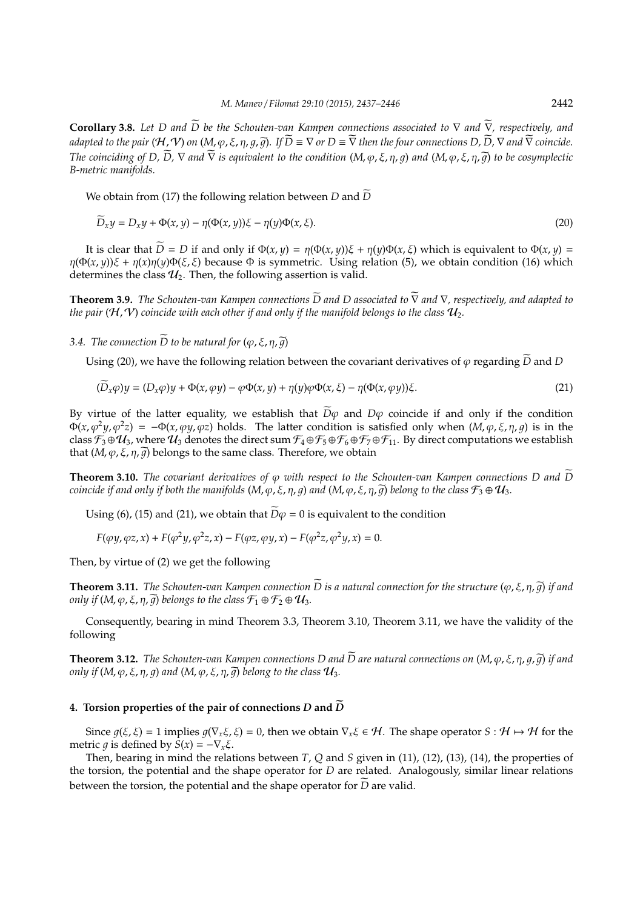**Corollary 3.8.** Let D and  $\widetilde{D}$  be the Schouten-van Kampen connections associated to ∇ and ∇, respectively, and *adapted to the pair* ( $H$ ,  $V$ ) *on* ( $M$ ,  $\varphi$ ,  $\xi$ ,  $\eta$ ,  $\tilde{q}$ ,  $\tilde{q}$ ). If  $\tilde{D} \equiv \nabla$  *or*  $D \equiv \tilde{\nabla}$  *then the four connections D*,  $\tilde{D}$ ,  $\nabla$  *and*  $\tilde{\nabla}$  *coincide. The coinciding of D,*  $\widetilde{D}$ *,*  $\nabla$  *and*  $\widetilde{\nabla}$  *is equivalent to the condition*  $(M, \varphi, \xi, \eta, q)$  *and*  $(M, \varphi, \xi, \eta, \widetilde{q})$  *to be cosymplectic B-metric manifolds.*

We obtain from (17) the following relation between *D* and  $\widetilde{D}$ 

$$
\widetilde{D}_x y = D_x y + \Phi(x, y) - \eta(\Phi(x, y))\xi - \eta(y)\Phi(x, \xi). \tag{20}
$$

It is clear that  $\tilde{D} = D$  if and only if  $\Phi(x, y) = \eta(\Phi(x, y))\xi + \eta(y)\Phi(x, \xi)$  which is equivalent to  $\Phi(x, y) =$ η(Φ(*x*, *y*))ξ + η(*x*)η(*y*)Φ(ξ, ξ) because Φ is symmetric. Using relation (5), we obtain condition (16) which determines the class  $\mathcal{U}_2$ . Then, the following assertion is valid.

**Theorem 3.9.** *The Schouten-van Kampen connections*  $\overline{D}$  *and*  $D$  *associated to*  $\overline{\nabla}$  *and*  $\nabla$ *, respectively, and adapted to the pair* ( $H$ ,  $V$ ) coincide with each other if and only if the manifold belongs to the class  $u_2$ .

*3.4.* The connection  $\widetilde{D}$  to be natural for  $(\varphi, \xi, \eta, \widetilde{q})$ 

Using (20), we have the following relation between the covariant derivatives of  $\varphi$  regarding  $\widetilde{D}$  and *D* 

$$
(\widetilde{D}_x \varphi)y = (D_x \varphi)y + \Phi(x, \varphi y) - \varphi \Phi(x, y) + \eta(y)\varphi \Phi(x, \xi) - \eta(\Phi(x, \varphi y))\xi.
$$
\n(21)

By virtue of the latter equality, we establish that  $\widetilde{D}\varphi$  and  $D\varphi$  coincide if and only if the condition  $\Phi(x, \varphi^2 y, \varphi^2 z) = -\Phi(x, \varphi y, \varphi z)$  holds. The latter condition is satisfied only when  $(M, \varphi, \xi, \eta, g)$  is in the class  $\mathcal{F}_3 \oplus \mathcal{U}_3$ , where  $\mathcal{U}_3$  denotes the direct sum  $\mathcal{F}_4 \oplus \mathcal{F}_5 \oplus \mathcal{F}_6 \oplus \mathcal{F}_7 \oplus \mathcal{F}_{11}$ . By direct computations we establish that  $(M, \varphi, \xi, \eta, \widetilde{g})$  belongs to the same class. Therefore, we obtain

**Theorem 3.10.** *The covariant derivatives of*  $\varphi$  *with respect to the Schouten-van Kampen connections D and*  $\widetilde{D}$ *coincide if and only if both the manifolds*  $(M, \varphi, \xi, \eta, q)$  *and*  $(M, \varphi, \xi, \eta, \overline{q})$  *belong to the class*  $\mathcal{F}_3 \oplus \mathcal{U}_3$ *.* 

Using (6), (15) and (21), we obtain that  $\widetilde{D}\varphi = 0$  is equivalent to the condition

 $F(\varphi y, \varphi z, x) + F(\varphi^2 y, \varphi^2 z, x) - F(\varphi z, \varphi y, x) - F(\varphi^2 z, \varphi^2 y, x) = 0.$ 

Then, by virtue of (2) we get the following

**Theorem 3.11.** *The Schouten-van Kampen connection*  $\widetilde{D}$  *is a natural connection for the structure* ( $\varphi$ ,  $\xi$ ,  $\eta$ ,  $\widetilde{q}$ ) *if and only if*  $(M, \varphi, \xi, \eta, \widetilde{q})$  *belongs to the class*  $\mathcal{F}_1 \oplus \mathcal{F}_2 \oplus \mathcal{U}_3$ *.* 

Consequently, bearing in mind Theorem 3.3, Theorem 3.10, Theorem 3.11, we have the validity of the following

**Theorem 3.12.** *The Schouten-van Kampen connections D and*  $\widetilde{D}$  are natural connections on  $(M, \varphi, \xi, \eta, q, \widetilde{q})$  if and *only if*  $(M, \varphi, \xi, \eta, q)$  *and*  $(M, \varphi, \xi, \eta, \widetilde{q})$  *belong to the class*  $\mathcal{U}_3$ *.* 

# **4.** Torsion properties of the pair of connections D and  $\widetilde{D}$

Since  $q(\xi, \xi) = 1$  implies  $q(\nabla_x \xi, \xi) = 0$ , then we obtain  $\nabla_x \xi \in \mathcal{H}$ . The shape operator  $S : \mathcal{H} \mapsto \mathcal{H}$  for the metric *q* is defined by *S*(*x*) =  $-\nabla_x \xi$ .

Then, bearing in mind the relations between *T*, *Q* and *S* given in (11), (12), (13), (14), the properties of the torsion, the potential and the shape operator for *D* are related. Analogously, similar linear relations between the torsion, the potential and the shape operator for  $\overline{D}$  are valid.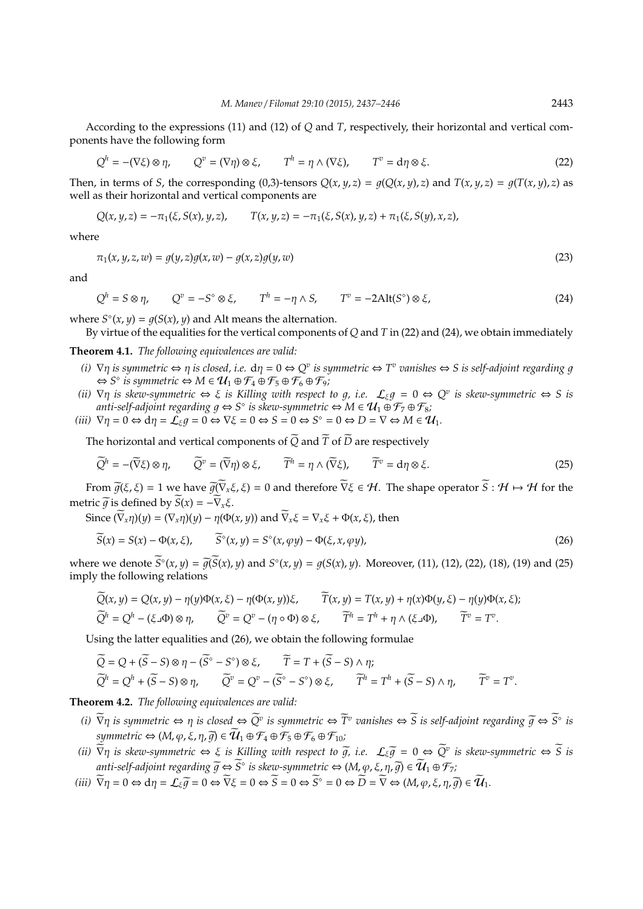According to the expressions (11) and (12) of *Q* and *T*, respectively, their horizontal and vertical components have the following form

$$
Q^h = -(\nabla \xi) \otimes \eta, \qquad Q^v = (\nabla \eta) \otimes \xi, \qquad T^h = \eta \wedge (\nabla \xi), \qquad T^v = d\eta \otimes \xi. \tag{22}
$$

Then, in terms of S, the corresponding (0,3)-tensors  $Q(x, y, z) = g(Q(x, y), z)$  and  $T(x, y, z) = g(T(x, y), z)$  as well as their horizontal and vertical components are

$$
Q(x, y, z) = -\pi_1(\xi, S(x), y, z), \qquad T(x, y, z) = -\pi_1(\xi, S(x), y, z) + \pi_1(\xi, S(y), x, z),
$$

where

$$
\pi_1(x, y, z, w) = g(y, z)g(x, w) - g(x, z)g(y, w)
$$
\n(23)

and

 $Q^h = S \otimes \eta$ ,  $Q^v = -S^\circ \otimes \xi$ ,  $T^h = -\eta \wedge S$ ,  $T^v = -2 \text{Alt}(S^\circ) \otimes \xi$ , (24)

where  $S^{\circ}(x, y) = g(S(x), y)$  and Alt means the alternation.

By virtue of the equalities for the vertical components of *Q* and *T* in (22) and (24), we obtain immediately

**Theorem 4.1.** *The following equivalences are valid:*

- $(i)$   $\nabla \eta$  *is symmetric*  $\Leftrightarrow \eta$  *is closed, i.e.*  $d\eta = 0 \Leftrightarrow Q^v$  *is symmetric*  $\Leftrightarrow T^v$  *vanishes*  $\Leftrightarrow S$  *is self-adjoint regarding g*  $\Leftrightarrow$  *S*<sup> $\circ$ </sup> is symmetric  $\Leftrightarrow M \in \mathcal{U}_1 \oplus \mathcal{F}_4 \oplus \mathcal{F}_5 \oplus \mathcal{F}_6 \oplus \mathcal{F}_9$ ;
- *(ii)*  $\nabla \eta$  *is skew-symmetric*  $\Leftrightarrow \xi$  *is Killing with respect to g, i.e.*  $\mathcal{L}_{\xi}g = 0 \Leftrightarrow Q^v$  *is skew-symmetric*  $\Leftrightarrow S$  *is* anti-self-adjoint regarding  $g \Leftrightarrow S^\diamond$  is skew-symmetric ⇔ M ∈  $\mathcal{U}_1 \oplus \mathcal{F}_7 \oplus \mathcal{F}_8$ ;
- $(iii)$   $\nabla \eta = 0 \Leftrightarrow d\eta = \mathcal{L}_{\xi}g = 0 \Leftrightarrow \nabla \xi = 0 \Leftrightarrow S = 0 \Leftrightarrow S^{\circ} = 0 \Leftrightarrow D = \nabla \Leftrightarrow M \in \mathcal{U}_1.$

The horizontal and vertical components of  $\widetilde{Q}$  and  $\widetilde{T}$  of  $\widetilde{D}$  are respectively

$$
\widetilde{Q}^h = -(\widetilde{\nabla}\xi) \otimes \eta, \qquad \widetilde{Q}^v = (\widetilde{\nabla}\eta) \otimes \xi, \qquad \widetilde{T}^h = \eta \wedge (\widetilde{\nabla}\xi), \qquad \widetilde{T}^v = d\eta \otimes \xi. \tag{25}
$$

From  $\tilde{q}(\xi, \xi) = 1$  we have  $\tilde{q}(\tilde{\nabla}_x \xi, \xi) = 0$  and therefore  $\tilde{\nabla} \xi \in \mathcal{H}$ . The shape operator  $\tilde{S}: \mathcal{H} \mapsto \mathcal{H}$  for the metric  $\widetilde{q}$  is defined by  $\widetilde{S}(x) = -\widetilde{\nabla}_x \xi$ .

Since  $(\overline{V}_x \eta)(y) = (\nabla_x \eta)(y) - \eta(\Phi(x, y))$  and  $\overline{V}_x \xi = \nabla_x \xi + \Phi(x, \xi)$ , then

$$
\widetilde{S}(x) = S(x) - \Phi(x, \xi), \qquad \widetilde{S}^{\circ}(x, y) = S^{\circ}(x, \varphi y) - \Phi(\xi, x, \varphi y), \tag{26}
$$

where we denote  $\widetilde{S}^{\circ}(x, y) = \widetilde{g(S(x), y)}$  and  $S^{\circ}(x, y) = g(S(x), y)$ . Moreover, (11), (12), (22), (18), (19) and (25) imply the following relations

$$
\widetilde{Q}(x, y) = Q(x, y) - \eta(y)\Phi(x, \xi) - \eta(\Phi(x, y))\xi, \qquad \widetilde{T}(x, y) = T(x, y) + \eta(x)\Phi(y, \xi) - \eta(y)\Phi(x, \xi);
$$
  

$$
\widetilde{Q}^h = Q^h - (\xi \Box \Phi) \otimes \eta, \qquad \widetilde{Q}^v = Q^v - (\eta \circ \Phi) \otimes \xi, \qquad \widetilde{T}^h = T^h + \eta \wedge (\xi \Box \Phi), \qquad \widetilde{T}^v = T^v.
$$

Using the latter equalities and (26), we obtain the following formulae

$$
\widetilde{Q} = Q + (\widetilde{S} - S) \otimes \eta - (\widetilde{S}^{\circ} - S^{\circ}) \otimes \xi, \qquad \widetilde{T} = T + (\widetilde{S} - S) \wedge \eta; \n\widetilde{Q}^h = Q^h + (\widetilde{S} - S) \otimes \eta, \qquad \widetilde{Q}^v = Q^v - (\widetilde{S}^{\circ} - S^{\circ}) \otimes \xi, \qquad \widetilde{T}^h = T^h + (\widetilde{S} - S) \wedge \eta, \qquad \widetilde{T}^v = T^v.
$$

**Theorem 4.2.** *The following equivalences are valid:*

- *(i)*  $\overline{\nabla}\eta$  *is symmetric* ⇔  $\eta$  *is closed* ⇔  $\widetilde{Q}^v$  *is symmetric* ⇔  $\widetilde{T}^v$  *vanishes* ⇔  $\widetilde{S}$  *is self-adjoint regarding*  $\widetilde{g}$  ⇔  $\widetilde{S}^{\circ}$  *is symmetric*  $\Leftrightarrow$   $(M, \varphi, \xi, \eta, \widetilde{g}) \in \widetilde{\mathcal{U}}_1 \oplus \mathcal{F}_4 \oplus \mathcal{F}_5 \oplus \mathcal{F}_6 \oplus \mathcal{F}_{10}$ ;
- $(iii)$   $\overline{\nabla}\eta$  *is skew-symmetric* ⇔ ξ *is Killing with respect to*  $\overline{g}$ *, i.e.*  $\mathcal{L}_{\xi}\overline{g} = 0 \Leftrightarrow \overline{Q}^v$  *is skew-symmetric* ⇔  $\overline{S}$  *is*  $\widetilde{H}$  anti-self-adjoint regarding  $\widetilde{g} \Leftrightarrow \widetilde{S}^{\circ}$  is skew-symmetric  $\Leftrightarrow$   $(M, \varphi, \xi, \eta, \widetilde{g}) \in \widetilde{\mathcal{U}}_1 \oplus \mathcal{F}_7$ ;
- $(iii)$   $\widetilde{\nabla}\eta = 0 \Leftrightarrow d\eta = \mathcal{L}_{\xi}\widetilde{g} = 0 \Leftrightarrow \widetilde{\nabla}\xi = 0 \Leftrightarrow \widetilde{S} = 0 \Leftrightarrow \widetilde{S}^{\circ} = 0 \Leftrightarrow \widetilde{D} = \widetilde{\nabla} \Leftrightarrow (M, \varphi, \xi, \eta, \widetilde{g}) \in \widetilde{\mathcal{U}}_1.$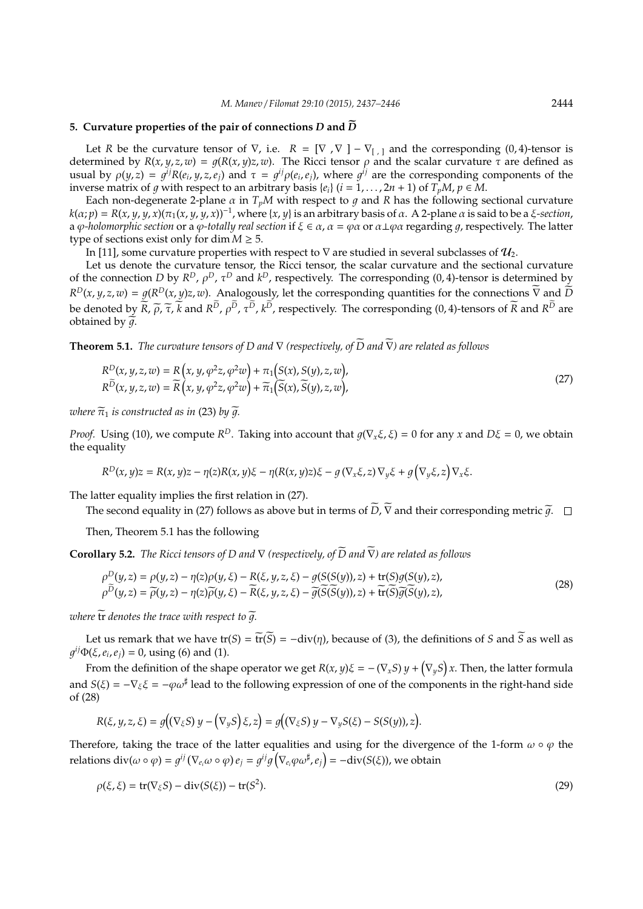## **5. Curvature properties of the pair of connections D and**  $\widetilde{D}$

Let *R* be the curvature tensor of  $\nabla$ , i.e.  $R = [\nabla, \nabla] - \nabla_{[\cdot]}$  and the corresponding (0,4)-tensor is determined by  $R(x, y, z, w) = q(R(x, y)z, w)$ . The Ricci tensor  $\rho$  and the scalar curvature  $\tau$  are defined as usual by  $\rho(y, z) = g^{ij}R(e_i, y, z, e_j)$  and  $\tau = g^{ij}\rho(e_i, e_j)$ , where  $g^{ij}$  are the corresponding components of the inverse matrix of q with respect to an arbitrary basis  $\{e_i\}$  ( $i = 1, \ldots, 2n + 1$ ) of  $T_pM$ ,  $p \in M$ .

Each non-degenerate 2-plane  $\alpha$  in  $T_pM$  with respect to  $q$  and  $R$  has the following sectional curvature  $k(\alpha;p)=R(x,y,y,x)(\pi_1(x,y,y,x))^{-1}$ , where {*x*, *y*} is an arbitrary basis of  $\alpha$ . A 2-plane  $\alpha$  is said to be a *ξ-section*, a  $\varphi$ -holomorphic section or a  $\varphi$ -totally real section if  $\xi \in \alpha$ ,  $\alpha = \varphi \alpha$  or  $\alpha \perp \varphi \alpha$  regarding  $q$ , respectively. The latter type of sections exist only for dim  $M \geq 5$ .

In [11], some curvature properties with respect to  $\nabla$  are studied in several subclasses of  $\mathcal{U}_2$ .

Let us denote the curvature tensor, the Ricci tensor, the scalar curvature and the sectional curvature of the connection *D* by  $R^D$ ,  $\rho^D$ ,  $\tau^D$  and  $k^D$ , respectively. The corresponding (0, 4)-tensor is determined by  $R^D(x, y, z, w) = g(R^D(x, y)z, w)$ . Analogously, let the corresponding quantities for the connections  $\overline{V}$  and  $\overline{D}$ be denoted by  $R$ ,  $\tilde{\rho}$ ,  $\tilde{\tau}$ ,  $k$  and  $R^D$ ,  $\rho^D$ ,  $\tau^D$ ,  $k^D$ , respectively. The corresponding (0, 4)-tensors of  $R$  and  $R^D$  are obtained by  $\tilde{q}$ .

**Theorem 5.1.** *The curvature tensors of D and*  $\nabla$  *(respectively, of*  $\widetilde{D}$  *and*  $\widetilde{\nabla}$ *) are related as follows* 

$$
R^{D}(x, y, z, w) = R(x, y, \varphi^{2}z, \varphi^{2}w) + \pi_{1}(S(x), S(y), z, w),
$$
  
\n
$$
R^{\widetilde{D}}(x, y, z, w) = \widetilde{R}(x, y, \varphi^{2}z, \varphi^{2}w) + \widetilde{\pi}_{1}(\widetilde{S}(x), \widetilde{S}(y), z, w),
$$
\n(27)

*where*  $\widetilde{\pi}_1$  *is constructed as in* (23) *by*  $\widetilde{q}$ *.* 

*Proof.* Using (10), we compute  $R^D$ . Taking into account that  $g(\nabla_x \xi, \xi) = 0$  for any *x* and  $D\xi = 0$ , we obtain the equality

$$
R^{D}(x, y)z = R(x, y)z - \eta(z)R(x, y)\xi - \eta(R(x, y)z)\xi - g(\nabla_{x}\xi, z)\nabla_{y}\xi + g(\nabla_{y}\xi, z)\nabla_{x}\xi.
$$

The latter equality implies the first relation in (27).

The second equality in (27) follows as above but in terms of  $\widetilde{D}$ ,  $\widetilde{\nabla}$  and their corresponding metric  $\widetilde{q}$ .  $\square$ 

Then, Theorem 5.1 has the following

**Corollary 5.2.** *The Ricci tensors of D and*  $\nabla$  *(respectively, of*  $\widetilde{D}$  *and*  $\widetilde{\nabla}$ *) are related as follows* 

$$
\rho^{D}(y,z) = \rho(y,z) - \eta(z)\rho(y,\xi) - R(\xi,y,z,\xi) - g(S(S(y)),z) + \text{tr}(S)g(S(y),z),
$$
  
\n
$$
\rho^{\overline{D}}(y,z) = \overline{\rho}(y,z) - \eta(z)\overline{\rho}(y,\xi) - \overline{R}(\xi,y,z,\xi) - \overline{g}(\overline{S}(\overline{S}(y)),z) + \overline{\text{tr}}(\overline{S})\overline{g}(\overline{S}(y),z),
$$
\n(28)

*where*  $\widetilde{\mathbf{tr}}$  *denotes the trace with respect to*  $\widetilde{q}$ *.* 

Let us remark that we have tr(*S*) =  $\widetilde{\text{tr}}(\widetilde{S})$  =  $-\text{div}(\eta)$ , because of (3), the definitions of *S* and  $\widetilde{S}$  as well as  $g^{ij}\Phi(\xi, e_i, e_j) = 0$ , using (6) and (1).

From the definition of the shape operator we get  $R(x, y)\xi = -(\nabla_x S)y + (\nabla_y S)x$ . Then, the latter formula and  $S(\xi) = -\nabla_{\xi}\xi = -\varphi\omega^{\sharp}$  lead to the following expression of one of the components in the right-hand side of (28)

$$
R(\xi, y, z, \xi) = g((\nabla_{\xi}S) y - (\nabla_{y}S)\xi, z) = g((\nabla_{\xi}S) y - \nabla_{y}S(\xi) - S(S(y)), z).
$$

Therefore, taking the trace of the latter equalities and using for the divergence of the 1-form  $\omega \circ \varphi$  the relations  $\text{div}(\omega \circ \varphi) = g^{ij} (\nabla_{e_i} \omega \circ \varphi) e_j = g^{ij} g (\nabla_{e_i} \varphi \omega^{\sharp}, e_j) = -\text{div}(S(\xi))$ , we obtain

$$
\rho(\xi,\xi) = \text{tr}(\nabla_{\xi}S) - \text{div}(S(\xi)) - \text{tr}(S^2). \tag{29}
$$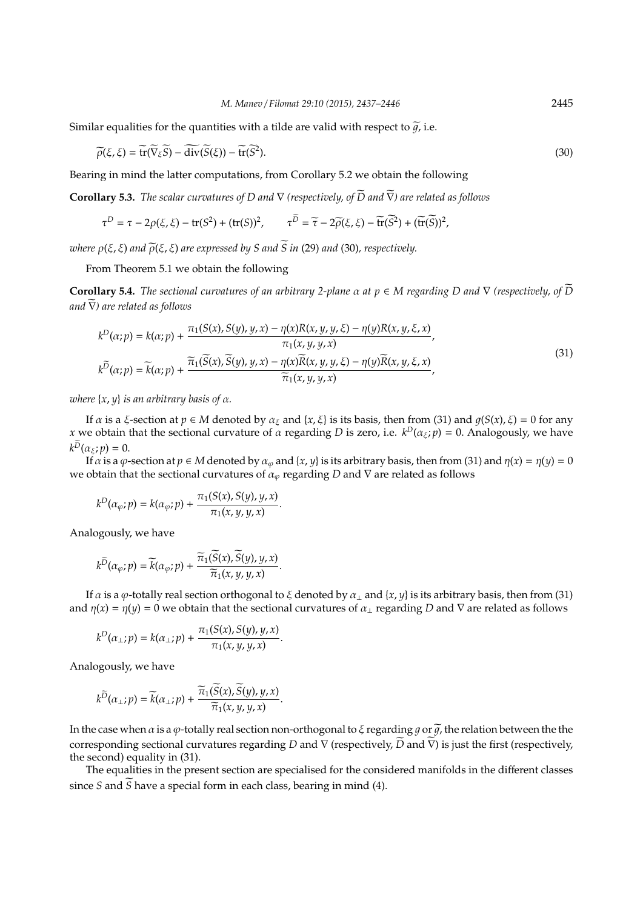Similar equalities for the quantities with a tilde are valid with respect to  $\tilde{q}$ , i.e.

$$
\widetilde{\rho}(\xi,\xi) = \widetilde{\text{tr}}(\widetilde{\nabla}_{\xi}\widetilde{S}) - \widetilde{\text{div}}(\widetilde{S}(\xi)) - \widetilde{\text{tr}}(\widetilde{S}^{2}).
$$
\n(30)

Bearing in mind the latter computations, from Corollary 5.2 we obtain the following

**Corollary 5.3.** *The scalar curvatures of D and*  $\nabla$  *(respectively, of*  $\widetilde{D}$  *and*  $\widetilde{\nabla}$ *) are related as follows* 

$$
\tau^D = \tau - 2\rho(\xi, \xi) - \text{tr}(S^2) + (\text{tr}(S))^2, \qquad \tau^{\widetilde{D}} = \widetilde{\tau} - 2\widetilde{\rho}(\xi, \xi) - \widetilde{\text{tr}}(\widetilde{S}^2) + (\widetilde{\text{tr}}(\widetilde{S}))^2,
$$

*where*  $\rho(\xi, \xi)$  *and*  $\tilde{\rho}(\xi, \xi)$  *are expressed by S and*  $\tilde{S}$  *in* (29) *and* (30)*, respectively.* 

From Theorem 5.1 we obtain the following

**Corollary 5.4.** *The sectional curvatures of an arbitrary 2-plane*  $\alpha$  *at*  $p \in M$  *regarding*  $D$  *and*  $\nabla$  *(respectively, of*  $\overline{D}$ *and*  $∇$ *)* are related as follows

$$
k^{D}(\alpha;p) = k(\alpha;p) + \frac{\pi_{1}(S(x), S(y), y, x) - \eta(x)R(x, y, y, \xi) - \eta(y)R(x, y, \xi, x)}{\pi_{1}(x, y, y, x)},
$$
  
\n
$$
k^{\overline{D}}(\alpha;p) = \widetilde{k}(\alpha;p) + \frac{\widetilde{\pi}_{1}(\widetilde{S}(x), \widetilde{S}(y), y, x) - \eta(x)\widetilde{R}(x, y, y, \xi) - \eta(y)\widetilde{R}(x, y, \xi, x)}{\widetilde{\pi}_{1}(x, y, y, x)},
$$
\n(31)

*where* {*x*, *y*} *is an arbitrary basis of* α*.*

If *α* is a *ξ*-section at *p*  $\in$  *M* denoted by  $\alpha_{\xi}$  and {*x*, *ξ*} is its basis, then from (31) and  $q(S(x), \xi) = 0$  for any *x* we obtain that the sectional curvature of  $\alpha$  regarding  $D$  is zero, i.e.  $k^D(\alpha_\xi; p) = 0$ . Analogously, we have  $k^D(\alpha_{\xi}; p) = 0.$ 

If  $\alpha$  is a  $\varphi$ -section at  $p \in M$  denoted by  $\alpha_{\varphi}$  and  $\{x, y\}$  is its arbitrary basis, then from (31) and  $\eta(x) = \eta(y) = 0$ we obtain that the sectional curvatures of  $\alpha_{\varphi}$  regarding *D* and  $\nabla$  are related as follows

$$
k^{D}(\alpha_{\varphi};p)=k(\alpha_{\varphi};p)+\frac{\pi_{1}(S(x),S(y),y,x)}{\pi_{1}(x,y,y,x)}.
$$

Analogously, we have

$$
k^{\widetilde{D}}(\alpha_{\varphi}; p) = \widetilde{k}(\alpha_{\varphi}; p) + \frac{\widetilde{\pi}_1(S(x), S(y), y, x)}{\widetilde{\pi}_1(x, y, y, x)}
$$

If *α* is a *φ*-totally real section orthogonal to *ξ* denoted by  $α_1$  and  $\{x, y\}$  is its arbitrary basis, then from (31) and  $\eta(x) = \eta(y) = 0$  we obtain that the sectional curvatures of  $\alpha_{\perp}$  regarding *D* and  $\nabla$  are related as follows

.

$$
k^D(\alpha_\perp;p)=k(\alpha_\perp;p)+\frac{\pi_1(S(x),S(y),y,x)}{\pi_1(x,y,y,x)}.
$$

Analogously, we have

$$
k^{\widetilde{D}}(\alpha_{\perp};p)=\widetilde{k}(\alpha_{\perp};p)+\frac{\widetilde{\pi}_1(\widetilde{S}(x),\widetilde{S}(y),y,x)}{\widetilde{\pi}_1(x,y,y,x)}.
$$

In the case when  $\alpha$  is a  $\varphi$ -totally real section non-orthogonal to  $\xi$  regarding  $q$  or  $\tilde{q}$ , the relation between the the corresponding sectional curvatures regarding *D* and  $\nabla$  (respectively,  $\widetilde{D}$  and  $\widetilde{\nabla}$ ) is just the first (respectively, the second) equality in (31).

The equalities in the present section are specialised for the considered manifolds in the different classes since *S* and  $\widetilde{S}$  have a special form in each class, bearing in mind (4).